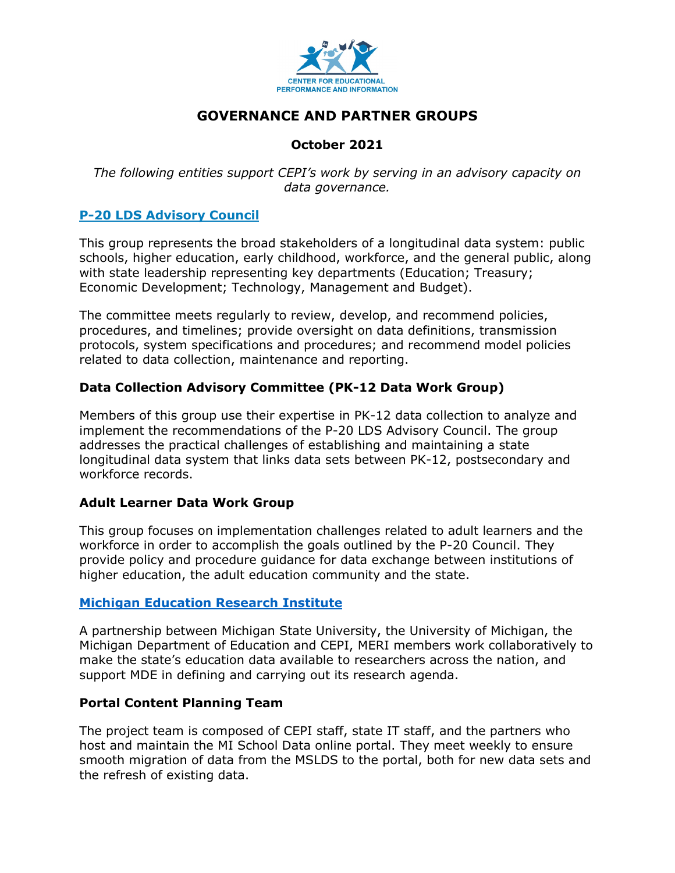

# **GOVERNANCE AND PARTNER GROUPS**

# **October 2021**

*The following entities support CEPI's work by serving in an advisory capacity on data governance.*

# **[P-20 LDS Advisory Council](https://www.michigan.gov/whitmer/0%2C9309%2C7-387-90501_90626-252714--%2C00.html)**

This group represents the broad stakeholders of a longitudinal data system: public schools, higher education, early childhood, workforce, and the general public, along with state leadership representing key departments (Education; Treasury; Economic Development; Technology, Management and Budget).

The committee meets regularly to review, develop, and recommend policies, procedures, and timelines; provide oversight on data definitions, transmission protocols, system specifications and procedures; and recommend model policies related to data collection, maintenance and reporting.

# **Data Collection Advisory Committee (PK-12 Data Work Group)**

Members of this group use their expertise in PK-12 data collection to analyze and implement the recommendations of the P-20 LDS Advisory Council. The group addresses the practical challenges of establishing and maintaining a state longitudinal data system that links data sets between PK-12, postsecondary and workforce records.

#### **Adult Learner Data Work Group**

This group focuses on implementation challenges related to adult learners and the workforce in order to accomplish the goals outlined by the P-20 Council. They provide policy and procedure guidance for data exchange between institutions of higher education, the adult education community and the state.

#### **[Michigan Education Research Institute](https://miedresearch.org/)**

A partnership between Michigan State University, the University of Michigan, the Michigan Department of Education and CEPI, MERI members work collaboratively to make the state's education data available to researchers across the nation, and support MDE in defining and carrying out its research agenda.

#### **Portal Content Planning Team**

The project team is composed of CEPI staff, state IT staff, and the partners who host and maintain the MI School Data online portal. They meet weekly to ensure smooth migration of data from the MSLDS to the portal, both for new data sets and the refresh of existing data.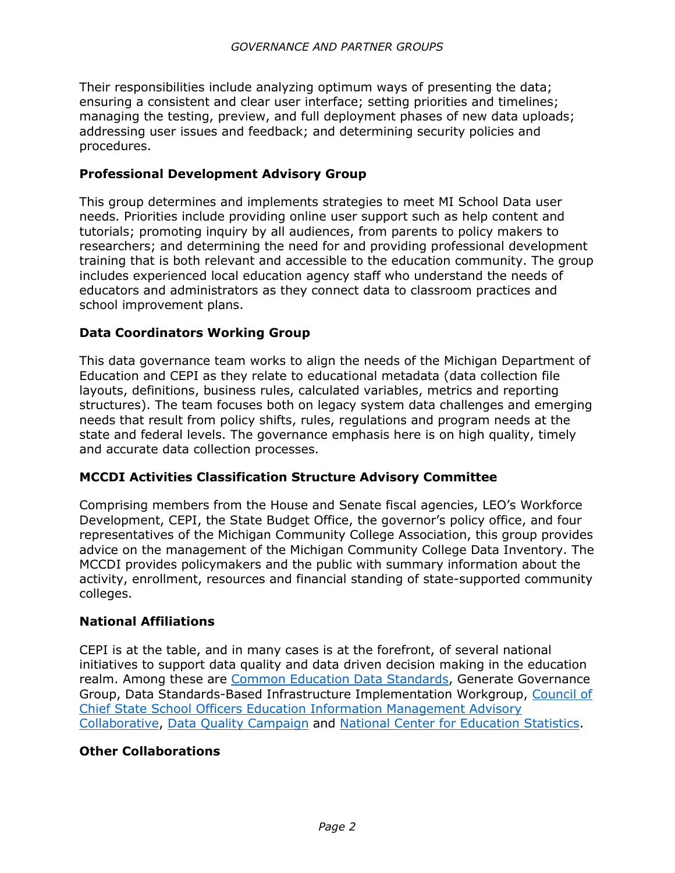Their responsibilities include analyzing optimum ways of presenting the data; ensuring a consistent and clear user interface; setting priorities and timelines; managing the testing, preview, and full deployment phases of new data uploads; addressing user issues and feedback; and determining security policies and procedures.

#### **Professional Development Advisory Group**

This group determines and implements strategies to meet MI School Data user needs. Priorities include providing online user support such as help content and tutorials; promoting inquiry by all audiences, from parents to policy makers to researchers; and determining the need for and providing professional development training that is both relevant and accessible to the education community. The group includes experienced local education agency staff who understand the needs of educators and administrators as they connect data to classroom practices and school improvement plans.

# **Data Coordinators Working Group**

This data governance team works to align the needs of the Michigan Department of Education and CEPI as they relate to educational metadata (data collection file layouts, definitions, business rules, calculated variables, metrics and reporting structures). The team focuses both on legacy system data challenges and emerging needs that result from policy shifts, rules, regulations and program needs at the state and federal levels. The governance emphasis here is on high quality, timely and accurate data collection processes.

#### **MCCDI Activities Classification Structure Advisory Committee**

Comprising members from the House and Senate fiscal agencies, LEO's Workforce Development, CEPI, the State Budget Office, the governor's policy office, and four representatives of the Michigan Community College Association, this group provides advice on the management of the Michigan Community College Data Inventory. The MCCDI provides policymakers and the public with summary information about the activity, enrollment, resources and financial standing of state-supported community colleges.

#### **National Affiliations**

CEPI is at the table, and in many cases is at the forefront, of several national initiatives to support data quality and data driven decision making in the education realm. Among these are [Common Education Data Standards,](https://ceds.ed.gov/) Generate Governance Group, Data Standards-Based Infrastructure Implementation Workgroup, [Council of](https://ccsso.org/education-information-management-advisory-collaborative-eimac)  [Chief State School Officers Education Information Management Advisory](https://ccsso.org/education-information-management-advisory-collaborative-eimac)  [Collaborative,](https://ccsso.org/education-information-management-advisory-collaborative-eimac) [Data Quality Campaign](https://dataqualitycampaign.org/) and [National Center for Education Statistics.](https://nces.ed.gov/programs/slds/)

#### **Other Collaborations**